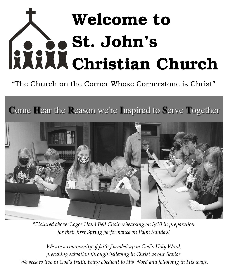# Welcome to St. John's Christian Church

"The Church on the Corner Whose Cornerstone is Christ"

Come Hear the Reason we're Inspired to Serve Together



*\*Pictured above: Logos Hand Bell Choir rehearsing on 3/10 in preparation for their first Spring performance on Palm Sunday!*

*We are a community of faith founded upon God's Holy Word, preaching salvation through believing in Christ as our Savior. We seek to live in God's truth, being obedient to His Word and following in His ways.*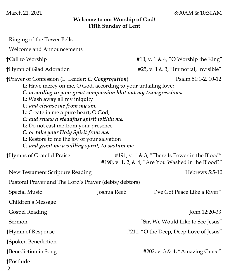March 21, 2021 8:00AM & 10:30AM

#### **Welcome to our Worship of God! Fifth Sunday of Lent**

| Ringing of the Tower Bells                                                                                                                                                                                                                                                                                                                                                                                                                                                                                                                                |             |                                                                                                     |  |  |
|-----------------------------------------------------------------------------------------------------------------------------------------------------------------------------------------------------------------------------------------------------------------------------------------------------------------------------------------------------------------------------------------------------------------------------------------------------------------------------------------------------------------------------------------------------------|-------------|-----------------------------------------------------------------------------------------------------|--|--|
| <b>Welcome and Announcements</b>                                                                                                                                                                                                                                                                                                                                                                                                                                                                                                                          |             |                                                                                                     |  |  |
| †Call to Worship                                                                                                                                                                                                                                                                                                                                                                                                                                                                                                                                          |             | #10, v. 1 & 4, "O Worship the King"                                                                 |  |  |
| †Hymn of Glad Adoration                                                                                                                                                                                                                                                                                                                                                                                                                                                                                                                                   |             | #25, v. $1 \& 3$ , "Immortal, Invisible"                                                            |  |  |
| †Prayer of Confession (L: Leader; C: Congregation)<br>Psalm 51:1-2, 10-12<br>L: Have mercy on me, O God, according to your unfailing love;<br>C: according to your great compassion blot out my transgressions.<br>L: Wash away all my iniquity<br>C: and cleanse me from my sin.<br>L: Create in me a pure heart, O God,<br>C: and renew a steadfast spirit within me.<br>L: Do not cast me from your presence<br>C: or take your Holy Spirit from me.<br>L: Restore to me the joy of your salvation<br>C: and grant me a willing spirit, to sustain me. |             |                                                                                                     |  |  |
| †Hymns of Grateful Praise                                                                                                                                                                                                                                                                                                                                                                                                                                                                                                                                 |             | #191, v. 1 & 3, "There Is Power in the Blood"<br>#190, v. 1, 2, & 4, "Are You Washed in the Blood?" |  |  |
| New Testament Scripture Reading                                                                                                                                                                                                                                                                                                                                                                                                                                                                                                                           |             | Hebrews 5:5-10                                                                                      |  |  |
| Pastoral Prayer and The Lord's Prayer (debts/debtors)                                                                                                                                                                                                                                                                                                                                                                                                                                                                                                     |             |                                                                                                     |  |  |
| <b>Special Music</b>                                                                                                                                                                                                                                                                                                                                                                                                                                                                                                                                      | Joshua Reeb | "I've Got Peace Like a River"                                                                       |  |  |
| Children's Message                                                                                                                                                                                                                                                                                                                                                                                                                                                                                                                                        |             |                                                                                                     |  |  |
| <b>Gospel Reading</b>                                                                                                                                                                                                                                                                                                                                                                                                                                                                                                                                     |             | John 12:20-33                                                                                       |  |  |
| Sermon                                                                                                                                                                                                                                                                                                                                                                                                                                                                                                                                                    |             | "Sir, We Would Like to See Jesus"                                                                   |  |  |
| †Hymn of Response                                                                                                                                                                                                                                                                                                                                                                                                                                                                                                                                         |             | #211, "O the Deep, Deep Love of Jesus"                                                              |  |  |
| †Spoken Benediction                                                                                                                                                                                                                                                                                                                                                                                                                                                                                                                                       |             |                                                                                                     |  |  |
| †Benediction in Song                                                                                                                                                                                                                                                                                                                                                                                                                                                                                                                                      |             | #202, v. 3 & 4, "Amazing Grace"                                                                     |  |  |
| †Postlude                                                                                                                                                                                                                                                                                                                                                                                                                                                                                                                                                 |             |                                                                                                     |  |  |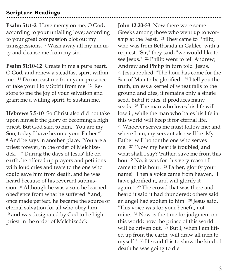## **Scripture Readings**

**Psalm 51:1-2** Have mercy on me, O God, according to your unfailing love; according to your great compassion blot out my transgressions. <sup>2</sup> Wash away all my iniquity and cleanse me from my sin.

**Psalm 51:10-12** Create in me a pure heart, O God, and renew a steadfast spirit within me. <sup>11</sup> Do not cast me from your presence or take your Holy Spirit from me. <sup>12</sup> Restore to me the joy of your salvation and grant me a willing spirit, to sustain me.

**Hebrews 5:5-10** So Christ also did not take upon himself the glory of becoming a high priest. But God said to him, "You are my Son; today I have become your Father." <sup>6</sup> And he says in another place, "You are a priest forever, in the order of Melchizedek." <sup>7</sup> During the days of Jesus' life on earth, he offered up prayers and petitions with loud cries and tears to the one who could save him from death, and he was heard because of his reverent submission. <sup>8</sup> Although he was a son, he learned obedience from what he suffered <sup>9</sup> and, once made perfect, he became the source of eternal salvation for all who obey him <sup>10</sup> and was designated by God to be high priest in the order of Melchizedek.

**John 12:20-33** Now there were some Greeks among those who went up to worship at the Feast. <sup>21</sup> They came to Philip, who was from Bethsaida in Galilee, with a request. "Sir," they said, "we would like to see Jesus." <sup>22</sup> Philip went to tell Andrew; Andrew and Philip in turn told Jesus. <sup>23</sup> Jesus replied, "The hour has come for the Son of Man to be glorified. <sup>24</sup> I tell you the truth, unless a kernel of wheat falls to the ground and dies, it remains only a single seed. But if it dies, it produces many seeds. <sup>25</sup> The man who loves his life will lose it, while the man who hates his life in this world will keep it for eternal life. <sup>26</sup> Whoever serves me must follow me; and where I am, my servant also will be. My Father will honor the one who serves me. <sup>27</sup> "Now my heart is troubled, and what shall I say? 'Father, save me from this hour'? No, it was for this very reason I came to this hour. <sup>28</sup> Father, glorify your name!" Then a voice came from heaven, "I have glorified it, and will glorify it again." <sup>29</sup> The crowd that was there and heard it said it had thundered; others said an angel had spoken to him. <sup>30</sup> Jesus said, "This voice was for your benefit, not mine. <sup>31</sup> Now is the time for judgment on this world; now the prince of this world will be driven out. <sup>32</sup> But I, when I am lifted up from the earth, will draw all men to myself." <sup>33</sup> He said this to show the kind of death he was going to die.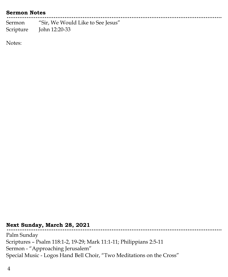#### **Sermon Notes**

Sermon "Sir, We Would Like to See Jesus" Scripture John 12:20-33

Notes:

# **Next Sunday, March 28, 2021**

Palm Sunday Scriptures – Psalm 118:1-2, 19-29; Mark 11:1-11; Philippians 2:5-11 Sermon - "Approaching Jerusalem" Special Music - Logos Hand Bell Choir, "Two Meditations on the Cross"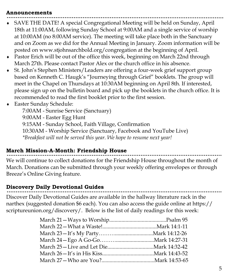#### **Announcements**

- SAVE THE DATE! A special Congregational Meeting will be held on Sunday, April 18th at 11:00AM, following Sunday School at 9:00AM and a single service of worship at 10:00AM (no 8:00AM service). The meeting will take place both in the Sanctuary and on Zoom as we did for the Annual Meeting in January. Zoom information will be posted on www.stjohnsarchbold.org/congregation at the beginning of April.
- Pastor Erich will be out of the office this week, beginning on March 22nd through March 27th. Please contact Pastor Alex or the church office in his absence.
- St. John's Stephen Ministers/Leaders are offering a four-week grief support group based on Kenneth C. Haugk's "Journeying through Grief" booklets. The group will meet in the Chapel on Thursdays at 10:30AM beginning on April 8th. If interested, please sign up on the bulletin board and pick up the booklets in the church office. It is recommended to read the first booklet prior to the first session.
- Easter Sunday Schedule:

7:00AM - Sunrise Service (Sanctuary) 9:00AM - Easter Egg Hunt 9:15AM - Sunday School, Faith Village, Confirmation 10:30AM - Worship Service (Sanctuary, Facebook and YouTube Live) *\*Breakfast will not be served this year. We hope to resume next year!*

#### **March Mission-A-Month: Friendship House**

We will continue to collect donations for the Friendship House throughout the month of March. Donations can be submitted through your weekly offering envelopes or through Breeze's Online Giving feature.

#### **Discovery Daily Devotional Guides**

Discover Daily Devotional Guides are available in the hallway literature rack in the narthex (suggested donation \$6 each). You can also access the guide online at https:// scriptureunion.org/discovery/. Below is the list of daily readings for this week: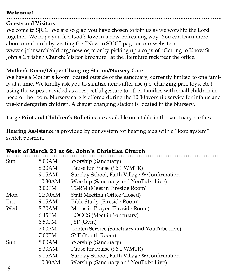## **Welcome!**

## **Guests and Visitors**

Welcome to SJCC! We are so glad you have chosen to join us as we worship the Lord together. We hope you feel God's love in a new, refreshing way. You can learn more about our church by visiting the "New to SJCC" page on our website at www.stjohnsarchbold.org/newtosjcc or by picking up a copy of "Getting to Know St. John's Christian Church: Visitor Brochure" at the literature rack near the office.

## **Mother's Room/Diaper Changing Station/Nursery Care**

We have a Mother's Room located outside of the sanctuary, currently limited to one family at a time. We kindly ask you to sanitize items after use (i.e. changing pad, toys, etc.) using the wipes provided as a respectful gesture to other families with small children in need of the room. Nursery care is offered during the 10:30 worship service for infants and pre-kindergarten children. A diaper changing station is located in the Nursery.

**Large Print and Children's Bulletins** are available on a table in the sanctuary narthex.

**Hearing Assistance** is provided by our system for hearing aids with a "loop system" switch position.

| Sun | 8:00AM  | Worship (Sanctuary)                         |
|-----|---------|---------------------------------------------|
|     | 8:30AM  | Pause for Praise (96.1 WMTR)                |
|     | 9:15AM  | Sunday School, Faith Village & Confirmation |
|     | 10:30AM | Worship (Sanctuary and YouTube Live)        |
|     | 3:00PM  | TGRM (Meet in Fireside Room)                |
| Mon | 11:00AM | <b>Staff Meeting (Office Closed)</b>        |
| Tue | 9:15AM  | Bible Study (Fireside Room)                 |
| Wed | 8:30AM  | Moms in Prayer (Fireside Room)              |
|     | 6:45PM  | LOGOS (Meet in Sanctuary)                   |
|     | 6:50PM  | IYF(Gym)                                    |
|     | 7:00PM  | Lenten Service (Sanctuary and YouTube Live) |
|     | 7:00PM  | SYF (Youth Room)                            |
| Sun | 8:00AM  | Worship (Sanctuary)                         |
|     | 8:30AM  | Pause for Praise (96.1 WMTR)                |
|     | 9:15AM  | Sunday School, Faith Village & Confirmation |
|     | 10:30AM | Worship (Sanctuary and YouTube Live)        |
|     |         |                                             |

# **Week of March 21 at St. John's Christian Church**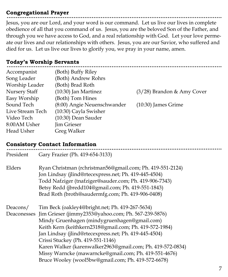# **Congregational Prayer**

Jesus, you are our Lord, and your word is our command. Let us live our lives in complete obedience of all that you command of us. Jesus, you are the beloved Son of the Father, and through you we have access to God, and a real relationship with God. Let your love permeate our lives and our relationships with others. Jesus, you are our Savior, who suffered and died for us. Let us live our lives to glorify you, we pray in your name, amen.

# **Today's Worship Servants**

| (Both) Buffy Riley          |                              |
|-----------------------------|------------------------------|
| (Both) Andrew Rohrs         |                              |
| (Both) Brad Roth            |                              |
| $(10:30)$ Jan Martinez      | $(3/28)$ Brandon & Amy Cover |
| (Both) Tom Hines            |                              |
| (8:00) Angie Neuenschwander | $(10:30)$ James Grime        |
| (10:30) Cayla Swisher       |                              |
| (10:30) Dean Sauder         |                              |
| Jim Grieser                 |                              |
| <b>Greg Walker</b>          |                              |
|                             |                              |

# **Consistory Contact Information**

| President | Gary Frazier (Ph. 419-654-3133)                                                                                                                                                                                                                                                                                                                                                                                                                                                                         |
|-----------|---------------------------------------------------------------------------------------------------------------------------------------------------------------------------------------------------------------------------------------------------------------------------------------------------------------------------------------------------------------------------------------------------------------------------------------------------------------------------------------------------------|
| Elders    | Ryan Christman (rchristman56@gmail.com; Ph. 419-551-2124)<br>Jon Lindsay (jlind@rtecexpress.net; Ph. 419-445-4504)<br>Todd Nafziger (tnafziger@sauder.com; Ph. 419-906-7343)<br>Betsy Redd (jbredd104@gmail.com; Ph. 419-551-1843)<br>Brad Roth (broth@saudermfg.com; Ph. 419-906-0408)                                                                                                                                                                                                                 |
| Deacons/  | Tim Beck (oakley4@bright.net; Ph. 419-267-5634)<br>Deaconesses Jim Grieser (jimmy2353@yahoo.com; Ph. 567-239-5876)<br>Mindy Gruenhagen (mindygruenhagen@gmail.com)<br>Keith Kern (keithkern2318@gmail.com; Ph. 419-572-1984)<br>Jan Lindsay (jlind@rtecexpress.net; Ph. 419-445-4504)<br>Crissi Stuckey (Ph. 419-551-1146)<br>Karen Walker (karenwalker2963@gmail.com; Ph. 419-572-0834)<br>Missy Warncke (mawarncke@gmail.com; Ph. 419-551-4676)<br>Bruce Wooley (wool5bw@gmail.com; Ph. 419-572-6678) |